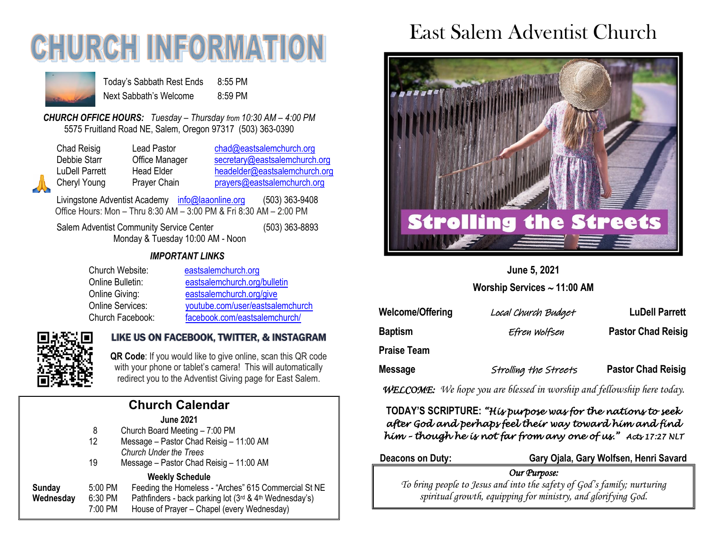# **CHURCH INFORMA**



Today's Sabbath Rest Ends 8:55 PM Next Sabbath's Welcome 8:59 PM

*CHURCH OFFICE HOURS: Tuesday – Thursday from 10:30 AM – 4:00 PM* 5575 Fruitland Road NE, Salem, Oregon 97317 (503) 363-0390

| Chad Reisig  |
|--------------|
| Debbie Starr |
| LuDell Parre |
| Cheryl Youn  |
|              |

Lead Pastor [chad@eastsalemchurch.org](mailto:chad@eastsalemchurch.org) Office Manager [secretary@eastsalemchurch.org](mailto:secretary@eastsalemchurch.org) Head Elder [headelder@eastsalemchurch.org](mailto:headelder@eastsalemchurch.org) Prayer Chain [prayers@eastsalemchurch.org](mailto:prayers@eastsalemchurch.org)

Livingstone Adventist Academy [info@laaonline.org](mailto:info@laaonline.org) (503) 363-9408 Office Hours: Mon – Thru 8:30 AM – 3:00 PM & Fri 8:30 AM – 2:00 PM

Salem Adventist Community Service Center (503) 363-8893 Monday & Tuesday 10:00 AM - Noon

#### *IMPORTANT LINKS*

| Church Website:  | eastsalemchurch.org              |
|------------------|----------------------------------|
| Online Bulletin: | eastsalemchurch.org/bulletin     |
| Online Giving:   | eastsalemchurch.org/give         |
| Online Services: | youtube.com/user/eastsalemchurch |
| Church Facebook: | facebook.com/eastsalemchurch/    |



### LIKE US ON FACEBOOK, TWITTER, & INSTAGRAM

**QR Code**: If you would like to give online, scan this QR code with your phone or tablet's camera! This will automatically redirect you to the Adventist Giving page for East Salem.

| <b>Church Calendar</b> |         |                                                        |  |  |
|------------------------|---------|--------------------------------------------------------|--|--|
|                        |         | <b>June 2021</b>                                       |  |  |
|                        | 8       | Church Board Meeting - 7:00 PM                         |  |  |
|                        | 12      | Message - Pastor Chad Reisig - 11:00 AM                |  |  |
|                        |         | <b>Church Under the Trees</b>                          |  |  |
|                        | 19      | Message - Pastor Chad Reisig - 11:00 AM                |  |  |
|                        |         | <b>Weekly Schedule</b>                                 |  |  |
| Sunday                 | 5:00 PM | Feeding the Homeless - "Arches" 615 Commercial St NE   |  |  |
| Wednesday              | 6:30 PM | Pathfinders - back parking lot (3rd & 4th Wednesday's) |  |  |
|                        | 7:00 PM | House of Prayer - Chapel (every Wednesday)             |  |  |
|                        |         |                                                        |  |  |

# East Salem Adventist Church



**June 5, 2021**

**Worship Services 11:00 AM**

| <b>Welcome/Offering</b> | Local Church Budget   | <b>LuDell Parrett</b>     |
|-------------------------|-----------------------|---------------------------|
| <b>Baptism</b>          | Efren Wolfsen         | <b>Pastor Chad Reisig</b> |
| <b>Praise Team</b>      |                       |                           |
| <b>Message</b>          | Strolling the Streets | <b>Pastor Chad Reisig</b> |

*WELCOME: We hope you are blessed in worship and fellowship here today.*

#### **TODAY'S SCRIPTURE:** *"His purpose was for the nations to seek after God and perhaps feel their way toward him and find him – though he is not far from any one of us." Acts 17:27 NLT*

**Deacons on Duty: Gary Ojala, Gary Wolfsen, Henri Savard**

*Our Purpose:* 

*To bring people to Jesus and into the safety of God's family; nurturing spiritual growth, equipping for ministry, and glorifying God.*